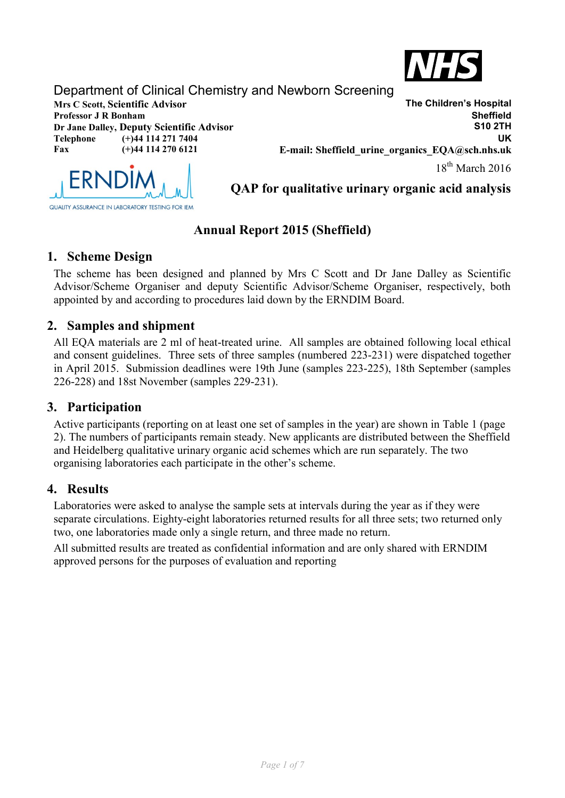

# Department of Clinical Chemistry and Newborn Screening

**Professor J R Bonham** 

**Telephone (+)44 114 271 7404 Fax (+)44 114 270 6121**

**Mrs C Scott, Scientific Advisor**<br> **Mrs C Scott, Scientific Advisor**<br> **Professor J R Bonham**<br> **Sheffield Dr Jane Dalley, Deputy Scientific Advisor S10 2TH UK E-mail: Sheffield\_urine\_organics\_EQA@sch.nhs.uk**  $18^{th}$  March 2016



**QAP for qualitative urinary organic acid analysis**

# **Annual Report 2015 (Sheffield)**

## **1. Scheme Design**

The scheme has been designed and planned by Mrs C Scott and Dr Jane Dalley as Scientific Advisor/Scheme Organiser and deputy Scientific Advisor/Scheme Organiser, respectively, both appointed by and according to procedures laid down by the ERNDIM Board.

## **2. Samples and shipment**

All EQA materials are 2 ml of heat-treated urine. All samples are obtained following local ethical and consent guidelines. Three sets of three samples (numbered 223-231) were dispatched together in April 2015. Submission deadlines were 19th June (samples 223-225), 18th September (samples 226-228) and 18st November (samples 229-231).

## **3. Participation**

Active participants (reporting on at least one set of samples in the year) are shown in Table 1 (page 2). The numbers of participants remain steady. New applicants are distributed between the Sheffield and Heidelberg qualitative urinary organic acid schemes which are run separately. The two organising laboratories each participate in the other's scheme.

### **4. Results**

Laboratories were asked to analyse the sample sets at intervals during the year as if they were separate circulations. Eighty-eight laboratories returned results for all three sets; two returned only two, one laboratories made only a single return, and three made no return.

All submitted results are treated as confidential information and are only shared with ERNDIM approved persons for the purposes of evaluation and reporting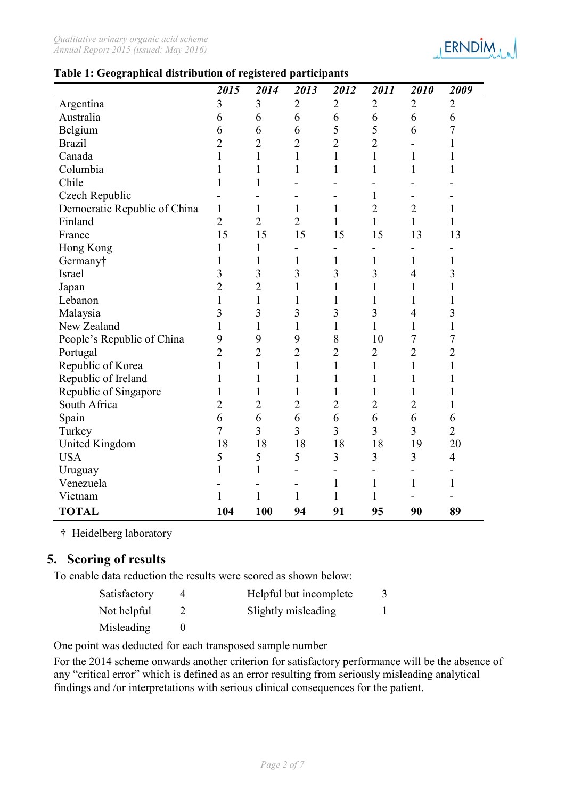

#### **Table 1: Geographical distribution of registered participants**

|                              | 2015           | 2014           | 2013           | 2012           | 2011           | 2010           | 2009           |
|------------------------------|----------------|----------------|----------------|----------------|----------------|----------------|----------------|
| Argentina                    | 3              | 3              | $\overline{2}$ | $\overline{2}$ | $\overline{2}$ | $\overline{2}$ | $\overline{2}$ |
| Australia                    | 6              | 6              | 6              | 6              | 6              | 6              | 6              |
| Belgium                      | 6              | 6              | 6              | 5              | 5              | 6              | 7              |
| <b>Brazil</b>                | $\overline{2}$ | $\overline{2}$ | $\overline{2}$ | $\overline{2}$ | $\overline{2}$ |                | $\mathbf{1}$   |
| Canada                       | 1              | $\mathbf{1}$   | 1              | $\mathbf{1}$   | $\mathbf{1}$   | 1              | 1              |
| Columbia                     | 1              | $\mathbf{1}$   | $\mathbf{1}$   | $\mathbf{1}$   | $\mathbf{1}$   | 1              |                |
| Chile                        | 1              | 1              |                |                |                |                |                |
| Czech Republic               |                |                |                |                | $\mathbf{1}$   |                |                |
| Democratic Republic of China | 1              | 1              | 1              | 1              | $\overline{2}$ | $\overline{2}$ | $\mathbf{1}$   |
| Finland                      | $\overline{2}$ | $\overline{2}$ | $\overline{2}$ | $\mathbf{1}$   | $\mathbf{1}$   | $\mathbf{1}$   | $\mathbf{1}$   |
| France                       | 15             | 15             | 15             | 15             | 15             | 13             | 13             |
| Hong Kong                    | 1              | 1              |                |                |                |                |                |
| Germany†                     | 1              | 1              | 1              | $\mathbf{1}$   | $\mathbf{1}$   | 1              | 1              |
| Israel                       | 3              | 3              | 3              | 3              | 3              | $\overline{4}$ | 3              |
| Japan                        | $\overline{2}$ | $\overline{2}$ | 1              | $\mathbf{1}$   | $\mathbf{1}$   | 1              | $\mathbf{1}$   |
| Lebanon                      | 1              | $\mathbf{1}$   | 1              | 1              | 1              | 1              | 1              |
| Malaysia                     | 3              | $\overline{3}$ | 3              | 3              | $\overline{3}$ | $\overline{4}$ | 3              |
| New Zealand                  | 1              | $\mathbf{1}$   | 1              | $\mathbf{1}$   | $\mathbf{1}$   | $\mathbf{1}$   | $\mathbf{1}$   |
| People's Republic of China   | 9              | 9              | 9              | 8              | 10             | 7              | 7              |
| Portugal                     | $\overline{2}$ | $\overline{2}$ | $\overline{2}$ | $\overline{2}$ | $\overline{2}$ | $\overline{2}$ | $\overline{2}$ |
| Republic of Korea            | $\mathbf{1}$   | $\mathbf{1}$   | $\mathbf{1}$   | $\mathbf{1}$   | $\mathbf{1}$   | $\mathbf{1}$   | $\mathbf{1}$   |
| Republic of Ireland          | 1              | 1              | 1              | 1              | 1              | 1              | 1              |
| Republic of Singapore        | 1              | $\mathbf{1}$   |                | $\mathbf{1}$   | 1              | 1              |                |
| South Africa                 | $\overline{2}$ | $\overline{2}$ | $\overline{2}$ | $\overline{2}$ | $\overline{2}$ | $\overline{2}$ | 1              |
| Spain                        | 6              | 6              | 6              | 6              | 6              | 6              | 6              |
| Turkey                       | $\overline{7}$ | $\overline{3}$ | 3              | 3              | $\overline{3}$ | $\overline{3}$ | $\overline{2}$ |
| <b>United Kingdom</b>        | 18             | 18             | 18             | 18             | 18             | 19             | 20             |
| <b>USA</b>                   | 5              | 5              | 5              | 3              | 3              | 3              | $\overline{4}$ |
| Uruguay                      | 1              | $\mathbf{1}$   |                | -              |                |                |                |
| Venezuela                    |                |                |                | $\mathbf{1}$   | $\mathbf{1}$   | 1              | 1              |
| Vietnam                      | 1              | $\mathbf{1}$   | 1              | 1              | 1              |                |                |
| <b>TOTAL</b>                 | 104            | 100            | 94             | 91             | 95             | 90             | 89             |

† Heidelberg laboratory

### **5. Scoring of results**

To enable data reduction the results were scored as shown below:

| Satisfactory | Helpful but incomplete |  |
|--------------|------------------------|--|
| Not helpful  | Slightly misleading    |  |
| Misleading   |                        |  |

One point was deducted for each transposed sample number

For the 2014 scheme onwards another criterion for satisfactory performance will be the absence of any "critical error" which is defined as an error resulting from seriously misleading analytical findings and /or interpretations with serious clinical consequences for the patient.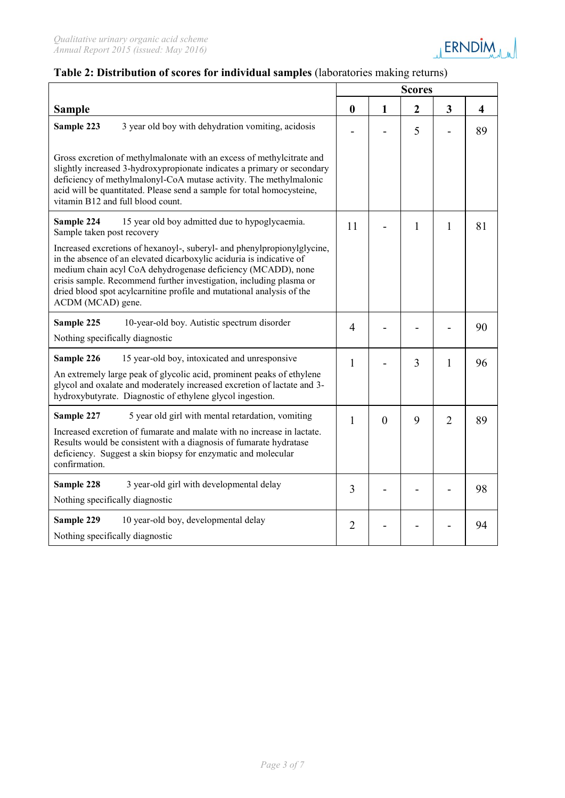

### **Table 2: Distribution of scores for individual samples** (laboratories making returns)

|                                                                                                                                                                                                                                                                                                                                                                                      | <b>Scores</b>    |                |                |                |                         |  |
|--------------------------------------------------------------------------------------------------------------------------------------------------------------------------------------------------------------------------------------------------------------------------------------------------------------------------------------------------------------------------------------|------------------|----------------|----------------|----------------|-------------------------|--|
| <b>Sample</b>                                                                                                                                                                                                                                                                                                                                                                        | $\boldsymbol{0}$ | $\mathbf{1}$   | $\overline{2}$ | 3              | $\overline{\mathbf{4}}$ |  |
| 3 year old boy with dehydration vomiting, acidosis<br>Sample 223                                                                                                                                                                                                                                                                                                                     |                  |                | 5              |                | 89                      |  |
| Gross excretion of methylmalonate with an excess of methylcitrate and<br>slightly increased 3-hydroxypropionate indicates a primary or secondary<br>deficiency of methylmalonyl-CoA mutase activity. The methylmalonic<br>acid will be quantitated. Please send a sample for total homocysteine,<br>vitamin B12 and full blood count.                                                |                  |                |                |                |                         |  |
| 15 year old boy admitted due to hypoglycaemia.<br>Sample 224<br>Sample taken post recovery                                                                                                                                                                                                                                                                                           | 11               |                | $\mathbf{1}$   | 1              | 81                      |  |
| Increased excretions of hexanoyl-, suberyl- and phenylpropionylglycine,<br>in the absence of an elevated dicarboxylic aciduria is indicative of<br>medium chain acyl CoA dehydrogenase deficiency (MCADD), none<br>crisis sample. Recommend further investigation, including plasma or<br>dried blood spot acylcarnitine profile and mutational analysis of the<br>ACDM (MCAD) gene. |                  |                |                |                |                         |  |
| Sample 225<br>10-year-old boy. Autistic spectrum disorder<br>Nothing specifically diagnostic                                                                                                                                                                                                                                                                                         | $\overline{4}$   |                |                |                | 90                      |  |
| Sample 226<br>15 year-old boy, intoxicated and unresponsive<br>An extremely large peak of glycolic acid, prominent peaks of ethylene<br>glycol and oxalate and moderately increased excretion of lactate and 3-<br>hydroxybutyrate. Diagnostic of ethylene glycol ingestion.                                                                                                         | $\mathbf{1}$     |                | 3              | 1              | 96                      |  |
| 5 year old girl with mental retardation, vomiting<br>Sample 227<br>Increased excretion of fumarate and malate with no increase in lactate.<br>Results would be consistent with a diagnosis of fumarate hydratase<br>deficiency. Suggest a skin biopsy for enzymatic and molecular<br>confirmation.                                                                                   | $\mathbf{1}$     | $\overline{0}$ | 9              | $\overline{2}$ | 89                      |  |
| Sample 228<br>3 year-old girl with developmental delay<br>Nothing specifically diagnostic                                                                                                                                                                                                                                                                                            | 3                |                |                |                | 98                      |  |
| Sample 229<br>10 year-old boy, developmental delay<br>Nothing specifically diagnostic                                                                                                                                                                                                                                                                                                | $\overline{2}$   |                |                |                | 94                      |  |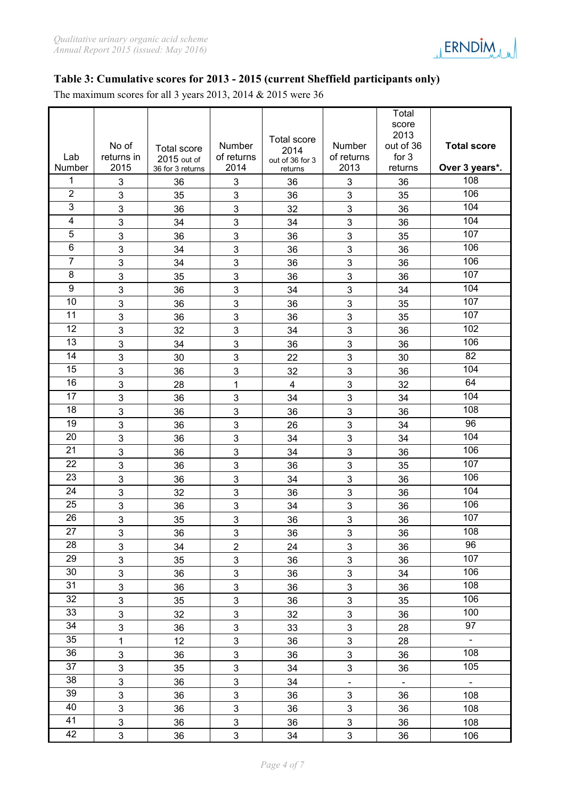

#### **Table 3: Cumulative scores for 2013 - 2015 (current Sheffield participants only)**

The maximum scores for all 3 years 2013, 2014 & 2015 were 36

|                 |                     |                                   |                           | <b>Total score</b>      |                      | Total<br>score<br>2013 |                    |
|-----------------|---------------------|-----------------------------------|---------------------------|-------------------------|----------------------|------------------------|--------------------|
| Lab             | No of<br>returns in | <b>Total score</b><br>2015 out of | Number<br>of returns      | 2014<br>out of 36 for 3 | Number<br>of returns | out of 36<br>for $3$   | <b>Total score</b> |
| Number          | 2015                | 36 for 3 returns                  | 2014                      | returns                 | 2013                 | returns                | Over 3 years*.     |
| 1               | 3                   | 36                                | 3                         | 36                      | 3                    | 36                     | 108                |
| $\overline{2}$  | 3                   | 35                                | 3                         | 36                      | 3                    | 35                     | 106                |
| 3               | 3                   | 36                                | 3                         | 32                      | 3                    | 36                     | 104                |
| 4               | 3                   | 34                                | 3                         | 34                      | 3                    | 36                     | 104                |
| 5               | 3                   | 36                                | 3                         | 36                      | 3                    | 35                     | 107                |
| 6               | 3                   | 34                                | 3                         | 36                      | 3                    | 36                     | 106                |
| $\overline{7}$  | 3                   | 34                                | 3                         | 36                      | 3                    | 36                     | 106                |
| 8               | 3                   | 35                                | 3                         | 36                      | 3                    | 36                     | 107                |
| 9               | 3                   | 36                                | 3                         | 34                      | 3                    | 34                     | 104                |
| 10              | 3                   | 36                                | 3                         | 36                      | 3                    | 35                     | 107                |
| 11              | 3                   | 36                                | 3                         | 36                      | 3                    | 35                     | 107                |
| 12              | 3                   | 32                                | 3                         | 34                      | 3                    | 36                     | 102                |
| 13              | 3                   | 34                                | 3                         | 36                      | 3                    | 36                     | 106                |
| 14              | 3                   | 30                                | 3                         | 22                      | 3                    | 30                     | 82                 |
| 15              | 3                   | 36                                | 3                         | 32                      | 3                    | 36                     | 104                |
| 16              | 3                   | 28                                | 1                         | $\overline{\mathbf{4}}$ | 3                    | 32                     | 64                 |
| 17              | 3                   | 36                                | 3                         | 34                      | 3                    | 34                     | 104                |
| 18              | 3                   | 36                                | 3                         | 36                      | 3                    | 36                     | 108                |
| 19              | 3                   | 36                                | 3                         | 26                      | 3                    | 34                     | 96<br>104          |
| 20<br>21        | 3                   | 36                                | 3                         | 34                      | 3                    | 34                     | 106                |
| 22              | 3                   | 36                                | 3                         | 34                      | 3                    | 36                     | 107                |
| 23              | 3                   | 36                                | 3                         | 36                      | 3                    | 35                     | 106                |
| 24              | 3                   | 36                                | 3                         | 34                      | 3                    | 36                     | 104                |
| 25              | 3                   | 32                                | 3<br>3                    | 36                      | 3                    | 36                     | 106                |
| 26              | 3<br>3              | 36<br>35                          | 3                         | 34<br>36                | 3<br>3               | 36<br>36               | 107                |
| 27              | $\mathfrak{S}$      | 36                                | $\mathfrak{S}$            | 36                      | 3                    | 36                     | 108                |
| 28              | 3                   | 34                                | $\overline{2}$            | 24                      | 3                    | 36                     | 96                 |
| 29              | 3                   | 35                                | 3                         | 36                      | 3                    | 36                     | 107                |
| 30              | 3                   | 36                                | $\overline{3}$            | 36                      | 3                    | 34                     | 106                |
| 31              | 3                   | 36                                | 3                         | 36                      | $\mathfrak{S}$       | 36                     | $\overline{108}$   |
| $\overline{32}$ | $\mathfrak{S}$      | 35                                | $\ensuremath{\mathsf{3}}$ | 36                      | 3                    | 35                     | 106                |
| 33              | 3                   | 32                                | $\overline{3}$            | 32                      | 3                    | 36                     | 100                |
| 34              | 3                   | 36                                | $\mathfrak{B}$            | 33                      | $\mathbf{3}$         | 28                     | 97                 |
| $\overline{35}$ | 1                   | 12                                | $\mathbf{3}$              | 36                      | $\mathfrak{S}$       | 28                     | $\Box$             |
| $\overline{36}$ | 3                   | 36                                | $\ensuremath{\mathsf{3}}$ | 36                      | $\mathfrak{S}$       | 36                     | 108                |
| 37              | $\mathfrak{S}$      | 35                                | $\ensuremath{\mathsf{3}}$ | 34                      | $\mathbf{3}$         | 36                     | 105                |
| 38              | 3                   | 36                                | $\overline{3}$            | 34                      | $\omega$             | $\blacksquare$         | $\omega$           |
| 39              | 3                   | 36                                | $\mathbf{3}$              | 36                      | $\mathbf{3}$         | 36                     | 108                |
| 40              | 3                   | 36                                | $\mathbf{3}$              | 36                      | 3                    | 36                     | 108                |
| 41              | 3                   | 36                                | 3                         | 36                      | $\mathfrak{S}$       | 36                     | 108                |
| 42              | $\mathbf{3}$        | 36                                | $\mathfrak{S}$            | 34                      | $\mathbf{3}$         | 36                     | 106                |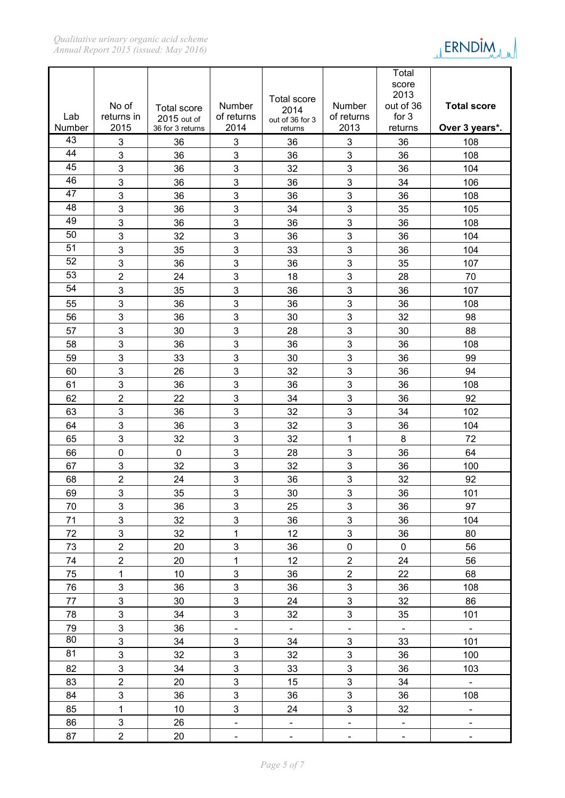

|        | No of          |                                   | Number                    | <b>Total score</b>      | Number                       | Total<br>score<br>2013<br>out of 36 | <b>Total score</b>           |
|--------|----------------|-----------------------------------|---------------------------|-------------------------|------------------------------|-------------------------------------|------------------------------|
| Lab    | returns in     | <b>Total score</b><br>2015 out of | of returns                | 2014<br>out of 36 for 3 | of returns                   | for 3                               |                              |
| Number | 2015           | 36 for 3 returns                  | 2014                      | returns                 | 2013                         | returns                             | Over 3 years*.               |
| 43     | 3              | 36                                | 3                         | 36                      | 3                            | 36                                  | 108                          |
| 44     | 3              | 36                                | 3                         | 36                      | 3                            | 36                                  | 108                          |
| 45     | 3              | 36                                | 3                         | 32                      | 3                            | 36                                  | 104                          |
| 46     | 3              | 36                                | 3                         | 36                      | $\mathbf{3}$                 | 34                                  | 106                          |
| 47     | 3              | 36                                | 3                         | 36                      | 3                            | 36                                  | 108                          |
| 48     | 3              | 36                                | 3                         | 34                      | 3                            | 35                                  | 105                          |
| 49     | 3              | 36                                | 3                         | 36                      | 3                            | 36                                  | 108                          |
| 50     | 3              | 32                                | $\mathbf{3}$              | 36                      | $\mathbf{3}$                 | 36                                  | 104                          |
| 51     | 3              | 35                                | 3                         | 33                      | 3                            | 36                                  | 104                          |
| 52     | 3              | 36                                | $\mathbf{3}$              | 36                      | 3                            | 35                                  | 107                          |
| 53     | $\overline{2}$ | 24                                | 3                         | 18                      | 3                            | 28                                  | 70                           |
| 54     | 3              | 35                                | 3                         | 36                      | 3                            | 36                                  | 107                          |
| 55     | 3              | 36                                | 3                         | 36                      | 3                            | 36                                  | 108                          |
| 56     | 3              | 36                                | $\mathbf{3}$              | 30                      | $\mathbf{3}$                 | 32                                  | 98                           |
| 57     | 3              | 30                                | 3                         | 28                      | 3                            | 30                                  | 88                           |
| 58     | 3              | 36                                | 3                         | 36                      | 3                            | 36                                  | 108                          |
| 59     | 3              | 33                                | 3                         | 30                      | 3                            | 36                                  | 99                           |
| 60     | 3              | 26                                | $\mathbf{3}$              | 32                      | 3                            | 36                                  | 94                           |
| 61     | 3              | 36                                | 3                         | 36                      | 3                            | 36                                  | 108                          |
| 62     | $\overline{2}$ | 22                                | $\mathbf{3}$              | 34                      | $\mathbf{3}$                 | 36                                  | 92                           |
| 63     | 3              | 36                                | 3                         | 32                      | 3                            | 34                                  | 102                          |
| 64     | 3              | 36                                | 3                         | 32                      | 3                            | 36                                  | 104                          |
| 65     | 3              | 32                                | 3                         | 32                      | $\mathbf{1}$                 | 8                                   | 72                           |
| 66     | $\mathbf 0$    | 0                                 | $\mathbf{3}$              | 28                      | 3                            | 36                                  | 64                           |
| 67     | 3              | 32                                | 3                         | 32                      | 3                            | 36                                  | 100                          |
| 68     | $\overline{2}$ | 24                                | $\mathbf{3}$              | 36                      | 3                            | 32                                  | 92                           |
| 69     | 3              | 35                                | 3                         | 30                      | 3                            | 36                                  | 101                          |
| 70     | 3              | 36                                | 3                         | 25                      | 3                            | 36                                  | 97                           |
| 71     | 3              | 32                                | 3                         | 36                      | 3                            | 36                                  | 104                          |
| 72     | 3              | 32                                | $\mathbf{1}$              | 12                      | 3                            | 36                                  | 80                           |
| 73     | $\overline{2}$ | 20                                | $\mathbf{3}$              | 36                      | $\pmb{0}$                    | $\mathbf 0$                         | 56                           |
| 74     | $\overline{2}$ | 20                                | $\mathbf{1}$              | 12                      | $\overline{2}$               | 24                                  | 56                           |
| 75     | $\mathbf{1}$   | 10                                | $\overline{3}$            | 36                      | $\overline{2}$               | 22                                  | 68                           |
| 76     | 3              | 36                                | 3                         | 36                      | 3                            | 36                                  | 108                          |
| 77     | 3              | 30                                | 3                         | 24                      | 3                            | 32                                  | 86                           |
| 78     | 3              | 34                                | 3                         | 32                      | 3                            | 35                                  | 101                          |
| 79     | 3              | 36                                | $\overline{\phantom{a}}$  | $\mathbb{L}^+$          | $\Box$                       | $\equiv$                            | $\mathbb{Z}^{\mathbb{Z}}$    |
| 80     | 3              | 34                                | $\overline{3}$            | 34                      | 3                            | 33                                  | 101                          |
| 81     | 3              | 32                                | $\mathbf{3}$              | 32                      | 3                            | 36                                  | 100                          |
| 82     | 3              | 34                                | $\ensuremath{\mathsf{3}}$ | 33                      | 3                            | 36                                  | 103                          |
| 83     | $\overline{2}$ | 20                                | $\mathbf{3}$              | 15                      | 3                            | 34                                  | $\omega_{\rm c}$             |
| 84     | 3              | 36                                | 3                         | 36                      | 3                            | 36                                  | 108                          |
| 85     | $\mathbf{1}$   | 10                                | 3                         | 24                      | 3                            | 32                                  | $\qquad \qquad \blacksquare$ |
| 86     | $\mathfrak{S}$ | 26                                | $\blacksquare$            | $\blacksquare$          | $\overline{\phantom{a}}$     | $\omega$                            | $\overline{\phantom{0}}$     |
| 87     | $\overline{2}$ | 20                                | $\blacksquare$            | $\blacksquare$          | $\qquad \qquad \blacksquare$ | $\blacksquare$                      | $\overline{\phantom{0}}$     |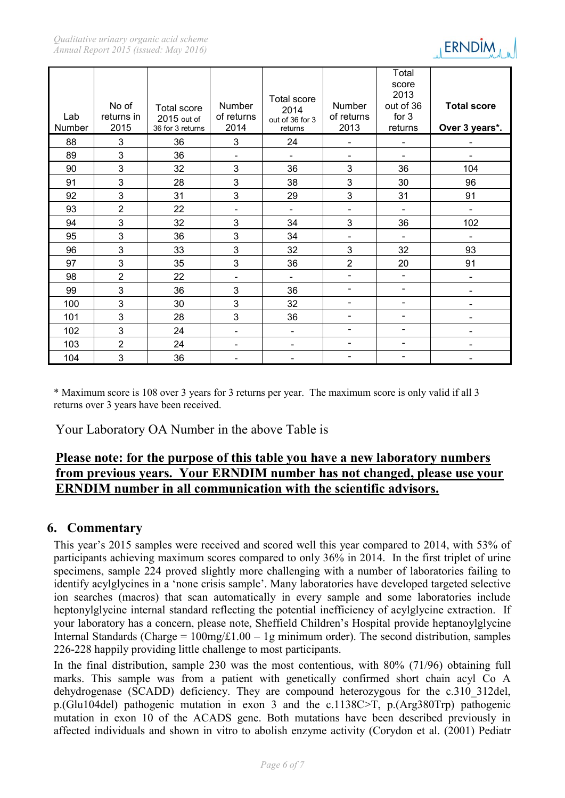

| Lab<br>Number | No of<br>returns in<br>2015 | <b>Total score</b><br>2015 out of<br>36 for 3 returns | Number<br>of returns<br>2014 | <b>Total score</b><br>2014<br>out of 36 for 3<br>returns | Number<br>of returns<br>2013 | Total<br>score<br>2013<br>out of 36<br>for $3$<br>returns | <b>Total score</b><br>Over 3 years*. |
|---------------|-----------------------------|-------------------------------------------------------|------------------------------|----------------------------------------------------------|------------------------------|-----------------------------------------------------------|--------------------------------------|
| 88            | 3                           | 36                                                    | 3                            | 24                                                       | -                            | $\overline{\phantom{0}}$                                  |                                      |
| 89            | 3                           | 36                                                    | $\qquad \qquad \blacksquare$ | $\blacksquare$                                           | $\overline{\phantom{a}}$     | $\blacksquare$                                            |                                      |
| 90            | 3                           | 32                                                    | 3                            | 36                                                       | 3                            | 36                                                        | 104                                  |
| 91            | 3                           | 28                                                    | 3                            | 38                                                       | 3                            | 30                                                        | 96                                   |
| 92            | 3                           | 31                                                    | 3                            | 29                                                       | $\mathbf{3}$                 | 31                                                        | 91                                   |
| 93            | $\overline{2}$              | 22                                                    | $\qquad \qquad \blacksquare$ | $\overline{\phantom{a}}$                                 | $\overline{\phantom{a}}$     | $\blacksquare$                                            |                                      |
| 94            | 3                           | 32                                                    | 3                            | 34                                                       | 3                            | 36                                                        | 102                                  |
| 95            | 3                           | 36                                                    | 3                            | 34                                                       | $\overline{\phantom{a}}$     | $\blacksquare$                                            |                                      |
| 96            | 3                           | 33                                                    | 3                            | 32                                                       | 3                            | 32                                                        | 93                                   |
| 97            | 3                           | 35                                                    | 3                            | 36                                                       | $\overline{2}$               | 20                                                        | 91                                   |
| 98            | $\overline{2}$              | 22                                                    | $\qquad \qquad \blacksquare$ | $\overline{\phantom{0}}$                                 | $\overline{\phantom{a}}$     | -                                                         |                                      |
| 99            | 3                           | 36                                                    | 3                            | 36                                                       | $\overline{\phantom{a}}$     | -                                                         | $\overline{\phantom{0}}$             |
| 100           | 3                           | 30                                                    | 3                            | 32                                                       | $\overline{\phantom{a}}$     | -                                                         |                                      |
| 101           | 3                           | 28                                                    | 3                            | 36                                                       | $\overline{\phantom{a}}$     | -                                                         |                                      |
| 102           | 3                           | 24                                                    | $\overline{\phantom{a}}$     | $\qquad \qquad \blacksquare$                             | $\qquad \qquad \blacksquare$ | -                                                         | $\blacksquare$                       |
| 103           | $\overline{2}$              | 24                                                    | $\qquad \qquad \blacksquare$ | $\qquad \qquad \blacksquare$                             | $\overline{\phantom{a}}$     | Ξ.                                                        |                                      |
| 104           | 3                           | 36                                                    |                              |                                                          |                              |                                                           |                                      |

\* Maximum score is 108 over 3 years for 3 returns per year. The maximum score is only valid if all 3 returns over 3 years have been received.

Your Laboratory OA Number in the above Table is

## **Please note: for the purpose of this table you have a new laboratory numbers from previous years. Your ERNDIM number has not changed, please use your ERNDIM number in all communication with the scientific advisors.**

### **6. Commentary**

This year's 2015 samples were received and scored well this year compared to 2014, with 53% of participants achieving maximum scores compared to only 36% in 2014. In the first triplet of urine specimens, sample 224 proved slightly more challenging with a number of laboratories failing to identify acylglycines in a 'none crisis sample'. Many laboratories have developed targeted selective ion searches (macros) that scan automatically in every sample and some laboratories include heptonylglycine internal standard reflecting the potential inefficiency of acylglycine extraction. If your laboratory has a concern, please note, Sheffield Children's Hospital provide heptanoylglycine Internal Standards (Charge =  $100mg/L1.00 - 1g$  minimum order). The second distribution, samples 226-228 happily providing little challenge to most participants.

In the final distribution, sample 230 was the most contentious, with 80% (71/96) obtaining full marks. This sample was from a patient with genetically confirmed short chain acyl Co A dehydrogenase (SCADD) deficiency. They are compound heterozygous for the c.310 312del, p.(Glu104del) pathogenic mutation in exon 3 and the c.1138C>T, p.(Arg380Trp) pathogenic mutation in exon 10 of the ACADS gene. Both mutations have been described previously in affected individuals and shown in vitro to abolish enzyme activity (Corydon et al. (2001) Pediatr